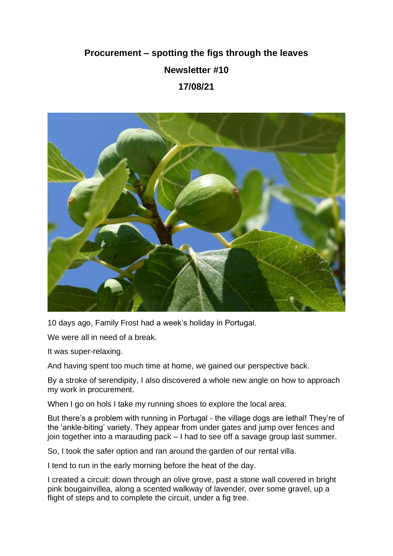## **Procurement – spotting the figs through the leaves Newsletter #10 17/08/21**



10 days ago, Family Frost had a week's holiday in Portugal.

We were all in need of a break.

It was super-relaxing.

And having spent too much time at home, we gained our perspective back.

By a stroke of serendipity, I also discovered a whole new angle on how to approach my work in procurement.

When I go on hols I take my running shoes to explore the local area.

But there's a problem with running in Portugal - the village dogs are lethal! They're of the 'ankle-biting' variety. They appear from under gates and jump over fences and join together into a marauding pack – I had to see off a savage group last summer.

So, I took the safer option and ran around the garden of our rental villa.

I tend to run in the early morning before the heat of the day.

I created a circuit: down through an olive grove, past a stone wall covered in bright pink bougainvillea, along a scented walkway of lavender, over some gravel, up a flight of steps and to complete the circuit, under a fig tree.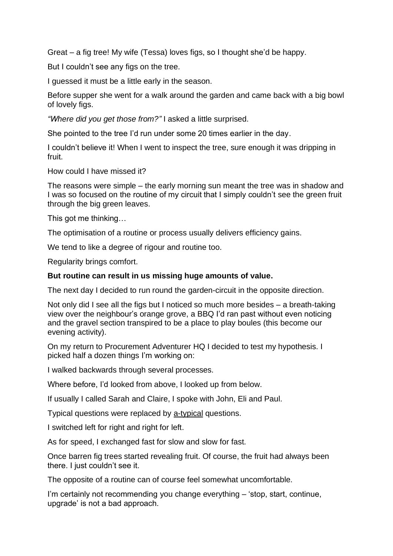Great – a fig tree! My wife (Tessa) loves figs, so I thought she'd be happy.

But I couldn't see any figs on the tree.

I guessed it must be a little early in the season.

Before supper she went for a walk around the garden and came back with a big bowl of lovely figs.

*"Where did you get those from?"* I asked a little surprised.

She pointed to the tree I'd run under some 20 times earlier in the day.

I couldn't believe it! When I went to inspect the tree, sure enough it was dripping in fruit.

How could I have missed it?

The reasons were simple – the early morning sun meant the tree was in shadow and I was so focused on the routine of my circuit that I simply couldn't see the green fruit through the big green leaves.

This got me thinking…

The optimisation of a routine or process usually delivers efficiency gains.

We tend to like a degree of rigour and routine too.

Regularity brings comfort.

## **But routine can result in us missing huge amounts of value.**

The next day I decided to run round the garden-circuit in the opposite direction.

Not only did I see all the figs but I noticed so much more besides – a breath-taking view over the neighbour's orange grove, a BBQ I'd ran past without even noticing and the gravel section transpired to be a place to play boules (this become our evening activity).

On my return to Procurement Adventurer HQ I decided to test my hypothesis. I picked half a dozen things I'm working on:

I walked backwards through several processes.

Where before, I'd looked from above, I looked up from below.

If usually I called Sarah and Claire, I spoke with John, Eli and Paul.

Typical questions were replaced by a-typical questions.

I switched left for right and right for left.

As for speed, I exchanged fast for slow and slow for fast.

Once barren fig trees started revealing fruit. Of course, the fruit had always been there. I just couldn't see it.

The opposite of a routine can of course feel somewhat uncomfortable.

I'm certainly not recommending you change everything – 'stop, start, continue, upgrade' is not a bad approach.